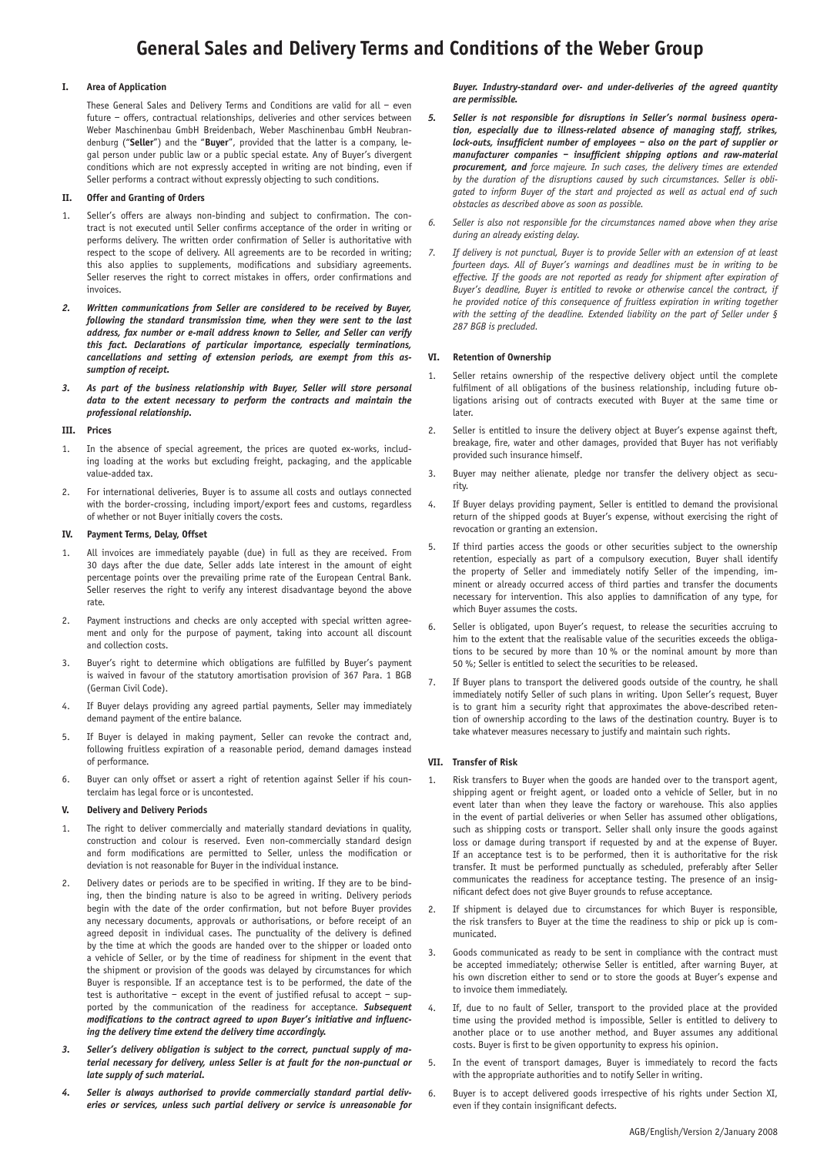# **General Sales and Delivery Terms and Conditions of the Weber Group**

## **I. Area of Application**

These General Sales and Delivery Terms and Conditions are valid for all – even future – offers, contractual relationships, deliveries and other services between Weber Maschinenbau GmbH Breidenbach, Weber Maschinenbau GmbH Neubrandenburg ("**Seller**") and the "**Buyer**", provided that the latter is a company, legal person under public law or a public special estate. Any of Buyer's divergent conditions which are not expressly accepted in writing are not binding, even if Seller performs a contract without expressly objecting to such conditions.

# **II. Offer and Granting of Orders**

- 1. Seller's offers are always non-binding and subject to confirmation. The contract is not executed until Seller confirms acceptance of the order in writing or performs delivery. The written order confirmation of Seller is authoritative with respect to the scope of delivery. All agreements are to be recorded in writing; this also applies to supplements, modifications and subsidiary agreements. Seller reserves the right to correct mistakes in offers, order confirmations and invoices.
- *2. Written communications from Seller are considered to be received by Buyer, following the standard transmission time, when they were sent to the last address, fax number or e-mail address known to Seller, and Seller can verify this fact. Declarations of particular importance, especially terminations, cancellations and setting of extension periods, are exempt from this assumption of receipt.*
- *3. As part of the business relationship with Buyer, Seller will store personal data to the extent necessary to perform the contracts and maintain the professional relationship.*

## **III. Prices**

- 1. In the absence of special agreement, the prices are quoted ex-works, including loading at the works but excluding freight, packaging, and the applicable value-added tax.
- 2. For international deliveries, Buyer is to assume all costs and outlays connected with the border-crossing, including import/export fees and customs, regardless of whether or not Buyer initially covers the costs.

# **IV. Payment Terms, Delay, Offset**

- 1. All invoices are immediately payable (due) in full as they are received. From 30 days after the due date, Seller adds late interest in the amount of eight percentage points over the prevailing prime rate of the European Central Bank. Seller reserves the right to verify any interest disadvantage beyond the above rate.
- 2. Payment instructions and checks are only accepted with special written agreement and only for the purpose of payment, taking into account all discount and collection costs.
- 3. Buyer's right to determine which obligations are fulfilled by Buyer's payment is waived in favour of the statutory amortisation provision of 367 Para. 1 BGB (German Civil Code).
- 4. If Buyer delays providing any agreed partial payments, Seller may immediately demand payment of the entire balance.
- 5. If Buyer is delayed in making payment, Seller can revoke the contract and, following fruitless expiration of a reasonable period, demand damages instead of performance.
- 6. Buyer can only offset or assert a right of retention against Seller if his counterclaim has legal force or is uncontested.

## **V. Delivery and Delivery Periods**

- 1. The right to deliver commercially and materially standard deviations in quality, construction and colour is reserved. Even non-commercially standard design and form modifications are permitted to Seller, unless the modification or deviation is not reasonable for Buyer in the individual instance.
- 2. Delivery dates or periods are to be specified in writing. If they are to be binding, then the binding nature is also to be agreed in writing. Delivery periods begin with the date of the order confirmation, but not before Buyer provides any necessary documents, approvals or authorisations, or before receipt of an agreed deposit in individual cases. The punctuality of the delivery is defined by the time at which the goods are handed over to the shipper or loaded onto a vehicle of Seller, or by the time of readiness for shipment in the event that the shipment or provision of the goods was delayed by circumstances for which Buyer is responsible. If an acceptance test is to be performed, the date of the test is authoritative – except in the event of justified refusal to accept – supported by the communication of the readiness for acceptance. *Subsequent modifications to the contract agreed to upon Buyer's initiative and influencing the delivery time extend the delivery time accordingly.*
- *3. Seller's delivery obligation is subject to the correct, punctual supply of material necessary for delivery, unless Seller is at fault for the non-punctual or late supply of such material.*
- *4. Seller is always authorised to provide commercially standard partial deliveries or services, unless such partial delivery or service is unreasonable for*

*Buyer. Industry-standard over- and under-deliveries of the agreed quantity are permissible.*

- *5. Seller is not responsible for disruptions in Seller's normal business operation, especially due to illness-related absence of managing staff, strikes, lock-outs, insufficient number of employees – also on the part of supplier or manufacturer companies – insufficient shipping options and raw-material procurement, and force majeure. In such cases, the delivery times are extended by the duration of the disruptions caused by such circumstances. Seller is obligated to inform Buyer of the start and projected as well as actual end of such obstacles as described above as soon as possible.*
- *6. Seller is also not responsible for the circumstances named above when they arise during an already existing delay.*
- *7. If delivery is not punctual, Buyer is to provide Seller with an extension of at least fourteen days. All of Buyer's warnings and deadlines must be in writing to be*  effective. If the goods are not reported as ready for shipment after expiration of *Buyer's deadline, Buyer is entitled to revoke or otherwise cancel the contract, if he provided notice of this consequence of fruitless expiration in writing together with the setting of the deadline. Extended liability on the part of Seller under § 287 BGB is precluded.*

# **VI. Retention of Ownership**

- 1. Seller retains ownership of the respective delivery object until the complete fulfilment of all obligations of the business relationship, including future obligations arising out of contracts executed with Buyer at the same time or later.
- 2. Seller is entitled to insure the delivery object at Buyer's expense against theft, breakage, fire, water and other damages, provided that Buyer has not verifiably provided such insurance himself.
- 3. Buyer may neither alienate, pledge nor transfer the delivery object as security.
- 4. If Buyer delays providing payment, Seller is entitled to demand the provisional return of the shipped goods at Buyer's expense, without exercising the right of revocation or granting an extension.
- 5. If third parties access the goods or other securities subject to the ownership retention, especially as part of a compulsory execution, Buyer shall identify the property of Seller and immediately notify Seller of the impending, imminent or already occurred access of third parties and transfer the documents necessary for intervention. This also applies to damnification of any type, for which Buyer assumes the costs.
- 6. Seller is obligated, upon Buyer's request, to release the securities accruing to him to the extent that the realisable value of the securities exceeds the obligations to be secured by more than 10 % or the nominal amount by more than 50 %; Seller is entitled to select the securities to be released.
- 7. If Buyer plans to transport the delivered goods outside of the country, he shall immediately notify Seller of such plans in writing. Upon Seller's request, Buyer is to grant him a security right that approximates the above-described retention of ownership according to the laws of the destination country. Buyer is to take whatever measures necessary to justify and maintain such rights.

## **VII. Transfer of Risk**

- 1. Risk transfers to Buyer when the goods are handed over to the transport agent, shipping agent or freight agent, or loaded onto a vehicle of Seller, but in no event later than when they leave the factory or warehouse. This also applies in the event of partial deliveries or when Seller has assumed other obligations, such as shipping costs or transport. Seller shall only insure the goods against loss or damage during transport if requested by and at the expense of Buyer. If an acceptance test is to be performed, then it is authoritative for the risk transfer. It must be performed punctually as scheduled, preferably after Seller communicates the readiness for acceptance testing. The presence of an insignificant defect does not give Buyer grounds to refuse acceptance.
- 2. If shipment is delayed due to circumstances for which Buyer is responsible, the risk transfers to Buyer at the time the readiness to ship or pick up is communicated.
- 3. Goods communicated as ready to be sent in compliance with the contract must be accepted immediately; otherwise Seller is entitled, after warning Buyer, at his own discretion either to send or to store the goods at Buyer's expense and to invoice them immediately.
- If, due to no fault of Seller, transport to the provided place at the provided time using the provided method is impossible, Seller is entitled to delivery to another place or to use another method, and Buyer assumes any additional costs. Buyer is first to be given opportunity to express his opinion.
- 5. In the event of transport damages, Buyer is immediately to record the facts with the appropriate authorities and to notify Seller in writing.
- 6. Buyer is to accept delivered goods irrespective of his rights under Section XI, even if they contain insignificant defects.